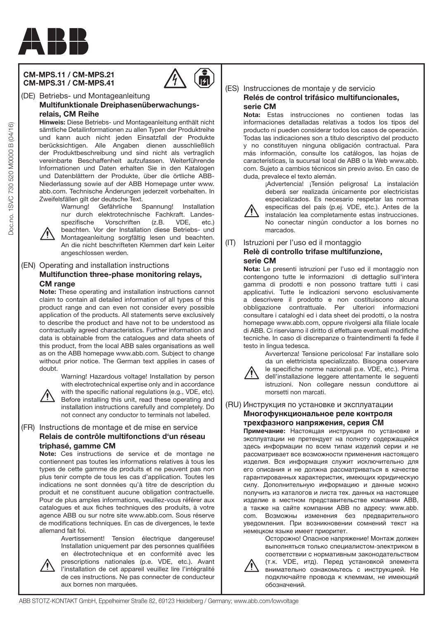

## **CM-MPS.11 / CM-MPS.21 CM-MPS.31 / CM-MPS.41**



## (DE) Betriebs- und Montageanleitung  **Multifunktionale Dreiphasenüberwachungsrelais, CM Reihe**

**Hinweis:** Diese Betriebs- und Montageanleitung enthält nicht sämtliche Detailinformationen zu allen Typen der Produktreihe und kann auch nicht jeden Einsatzfall der Produkte berücksichtigen. Alle Angaben dienen ausschließlich der Produktbeschreibung und sind nicht als vertraglich vereinbarte Beschaffenheit aufzufassen. Weiterführende Informationen und Daten erhalten Sie in den Katalogen und Datenblättern der Produkte, über die örtliche ABB-Niederlassung sowie auf der ABB Homepage unter www. abb.com. Technische Änderungen jederzeit vorbehalten. In Zweifelsfällen gilt der deutsche Text.

> Warnung! Gefährliche Spannung! Installation nur durch elektrotechnische Fachkraft. Landesspezifische Vorschriften (z.B. VDE, etc.) beachten. Vor der Installation diese Betriebs- und

Montageanleitung sorgfältig lesen und beachten. An die nicht beschrifteten Klemmen darf kein Leiter angeschlossen werden.

## (EN) Operating and installation instructions  **Multifunction three-phase monitoring relays, CM range**

**Note:** These operating and installation instructions cannot claim to contain all detailed information of all types of this product range and can even not consider every possible application of the products. All statements serve exclusively to describe the product and have not to be understood as contractually agreed characteristics. Further information and data is obtainable from the catalogues and data sheets of this product, from the local ABB sales organisations as well as on the ABB homepage www.abb.com. Subject to change without prior notice. The German text applies in cases of doubt.



Warning! Hazardous voltage! Installation by person with electrotechnical expertise only and in accordance with the specific national regulations (e.g., VDE, etc). Before installing this unit, read these operating and installation instructions carefully and completely. Do not connect any conductor to terminals not labelled.

## (FR) Instructions de montage et de mise en service  **Relais de contrôle multifonctions d'un réseau triphasé, gamme CM**

**Note:** Ces instructions de service et de montage ne contiennent pas toutes les informations relatives à tous les types de cette gamme de produits et ne peuvent pas non plus tenir compte de tous les cas d'application. Toutes les indications ne sont données qu'à titre de description du produit et ne constituent aucune obligation contractuelle. Pour de plus amples informations, veuillez-vous référer aux catalogues et aux fiches techniques des produits, à votre agence ABB ou sur notre site www.abb.com. Sous réserve de modifications techniques. En cas de divergences, le texte allemand fait foi.



Avertissement! Tension électrique dangereuse! Installation uniquement par des personnes qualifiées en électrotechnique et en conformité avec les prescriptions nationales (p.e. VDE, etc.). Avant l'installation de cet appareil veuillez lire l'intégralité de ces instructions. Ne pas connecter de conducteur aux bornes non marquées.

## (ES) Instrucciones de montaje y de servicio  **Relés de control trifásico multifuncionales, serie CM**

**Nota:** Estas instrucciones no contienen todas las informaciones detalladas relativas a todos los tipos del producto ni pueden considerar todos los casos de operación. Todas las indicaciones son a título descriptivo del producto y no constituyen ninguna obligación contractual. Para más información, consulte los catálogos, las hojas de características, la sucursal local de ABB o la Web www.abb. com. Sujeto a cambios técnicos sin previo aviso. En caso de duda, prevalece el texto alemán.

¡Advertencia! ¡Tensión peligrosa! La instalación deberá ser realizada únicamente por electricistas especializados. Es necesario respetar las normas especificas del país (p.ej. VDE, etc.). Antes de la instalación lea completamente estas instrucciones. No conectar ningún conductor a los bornes no

## (IT) Istruzioni per l'uso ed il montaggio  **Relè di controllo trifase multifunzione, serie CM**

marcados.

**Nota:** Le presenti istruzioni per l'uso ed il montaggio non contengono tutte le informazioni di dettaglio sull'intera gamma di prodotti e non possono trattare tutti i casi applicativi. Tutte le indicazioni servono esclusivamente a descrivere il prodotto e non costituiscono alcuna obbligazione contrattuale. Per ulteriori informazioni consultare i cataloghi ed i data sheet dei prodotti, o la nostra homepage www.abb.com, oppure rivolgersi alla filiale locale di ABB. Ci riserviamo il diritto di effettuare eventuali modifiche tecniche. In caso di discrepanze o fraintendimenti fa fede il testo in lingua tedesca.



Avvertenza! Tensione pericolosa! Far installare solo da un elettricista specializzato. Bisogna osservare

le specifiche norme nazionali p.e. VDE, etc.). Prima dell'installazione leggere attentamente le seguenti istruzioni. Non collegare nessun conduttore ai morsetti non marcati.

## (RU) Инструкция по установке и эксплуатации  **Многофункциональное реле контроля трехфазного напряжения, серия СМ**

**Примечание:** Настоящая инструкция по установке и эксплуатации не претендует на полноту содержащейся здесь информации по всем типам изделий серии и не рассматривает все возможности применения настоящего изделия. Вся информация служит исключительно для его описания и не должна рассматриваться в качестве гарантированных характеристик, имеющих юридическую силу. Дополнительную информацию и данные можно получить из каталогов и листа тех. данных на настоящее изделие в местном представительстве компании АВВ, а также на сайте компании АВВ по адресу: www.abb. com. Возможны изменения без предварительного уведомления. При возникновении сомнений текст на немецком языке имеет приоритет.

Oсторожно! Опасное напряжение! Монтаж должен выполняться только специалистом-электриком в соответствии с нормативным законодательством



(т.к. VDE, итд). Перед установкой элемента внимательно ознакомьтесь с инструкцией. Не подключайте провода к клеммам, не имеющий обозначений.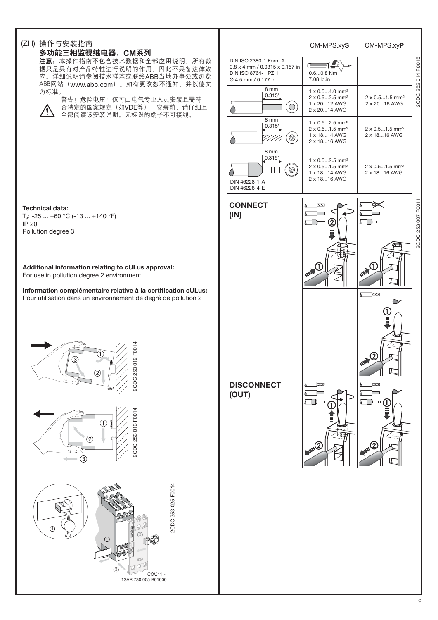#### (ZH) 操作与安装指南 CM-MPS.xy**S** CM-MPS.xy**P** 多功能三相监视继电器, CM系列 DIN ISO 2380-1 Form A 注意: 本操作指南不包含技术数据和全部应用说明, 所有数 SHE Œ 0.8 x 4 mm / 0.0315 x 0.157 in 据只是具有对产品特性进行说明的作用,因此不具备法律效 DIN ISO 8764-1 PZ 1 0.6...0.8 Nm 应。详细说明请参阅技术样本或联络ABB当地办事处或浏览 Ø 4.5 mm / 0.177 in 7.08 lb.in ABB网站(www.abb.com)。如有更改恕不通知。并以德文 8 mm 为标准。 1 x 0.5...4.0 mm² 0.315" 2 x 0.5...2.5 mm² 2 x 0.5...1.5 mm² 警告! 危险电压! 仅可由电气专业人员安装且需符 2 x 20...16 AWG 1 x 20...12 AWG  $\bigcirc$ 合特定的国家规定(如VDE等)。安装前, 请仔细且 Ĉ 2 x 20...14 AWG /^ 全部阅读该安装说明。无标识的端子不可接线。 8 mm  $1 \times 0.5...2.5$  mm<sup>2</sup> 0.315" 2 x 0.5...1.5 mm² 2 x 0.5...1.5 mm² 1 x 18...14 AWG 2 x 18...16 AWG (⊕ 7777. 2 x 18...16 AWG  $8 \text{ mm}$ 0.315" 1 x 0.5...2.5 mm² 2 x 0.5...1.5 mm² 2 x 0.5...1.5 mm² TП  $\circledR$ 1 x 18...14 AWG 2 x 18...16 AWG 2 x 18...16 AWG DIN 46228-1-A DIN 46228-4-E **CONNECT**   $\overline{\phantom{a}}$ Σ λ **Technical data:**  $\sqrt{ }$ هد **(IN)** ିନ Ta: -25 ... +60 °C (-13 ... +140 °F)  $\widehat{\mathbf{2}}$  $\Box$  $\sqrt{2}$ IP 20 Pollution degree 3 **Additional information relating to cULus approval:** For use in pollution degree 2 environment **Information complémentaire relative à la certification cULus:** Σ Pour utilisation dans un environnement de degré de pollution 2 2CDC 253 013 F0014 2CDC 253 012 F0014 2CDC 253 012 F00 **DISCONNECT**  $\sum$ λ **(OUT)** Σ Σ  $\Box$  $\sqrt{ }$ CDC 253 013 F00 T,  $\circled{2}$  $(3)$

 $(3)$ 

 $\overline{\varnothing}$ 

2

COV.11 - 1SVR 730 005 R01000 2CDC 253 025 F0014

2CDC 253 025 F0014

 $\odot$ 

 $\overline{4}$ 

2CDC 253 007 F0011

2CDC 253 007 F001

 $\Rightarrow$ 

 $\overline{\mathbb{Z}}$ 

tz

2CDC 252 014 F0015

2CDC<sub>2</sub>

252014 F0015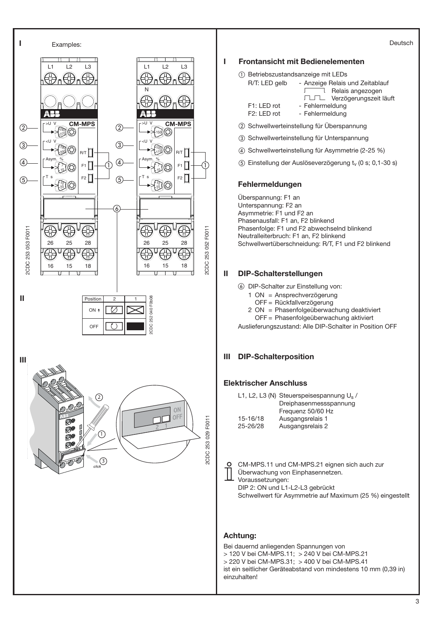

### Deutsch

## **I Frontansicht mit Bedienelementen**

- Betriebszustandsanzeige mit LEDs

| R/T: LED gelb            | - Anzeige Relais und Zeitablauf |
|--------------------------|---------------------------------|
|                          | Relais angezogen                |
|                          | TUTL Verzögerungszeit läuft     |
| F1: LED rot              | - Fehlermeldung                 |
| F <sub>2</sub> : LED rot | - Fehlermeldung                 |
|                          |                                 |

- Schwellwerteinstellung für Überspannung
- Schwellwerteinstellung für Unterspannung
- Schwellwerteinstellung für Asymmetrie (2-25 %)
- (5) Einstellung der Auslöseverzögerung  $t_v$  (0 s; 0,1-30 s)

## **Fehlermeldungen**

Überspannung: F1 an Unterspannung: F2 an Asymmetrie: F1 und F2 an Phasenausfall: F1 an, F2 blinkend Phasenfolge: F1 und F2 abwechselnd blinkend Neutralleiterbruch: F1 an, F2 blinkend Schwellwertüberschneidung: R/T, F1 und F2 blinkend

## **II DIP-Schalterstellungen**

- DIP-Schalter zur Einstellung von:
	- 1 ON = Ansprechverzögerung
		- OFF = Rückfallverzögerung
	- 2 ON = Phasenfolgeüberwachung deaktiviert
	- OFF = Phasenfolgeüberwachung aktiviert

Auslieferungszustand: Alle DIP-Schalter in Position OFF

## **III DIP-Schalterposition**

## **Elektrischer Anschluss**

|          | L1, L2, L3 (N) Steuerspeisespannung $U_s/$ |
|----------|--------------------------------------------|
|          | Dreiphasenmessspannung                     |
|          | Frequenz 50/60 Hz                          |
| 15-16/18 | Ausgangsrelais 1                           |
| 25-26/28 | Ausgangsrelais 2                           |

CM-MPS.11 und CM-MPS.21 eignen sich auch zur Überwachung von Einphasennetzen. Voraussetzungen: DIP 2: ON und L1-L2-L3 gebrückt

Schwellwert für Asymmetrie auf Maximum (25 %) eingestellt

## **Achtung:**

 $\circ$ 

Bei dauernd anliegenden Spannungen von > 120 V bei CM-MPS.11; > 240 V bei CM-MPS.21 > 220 V bei CM-MPS.31; > 400 V bei CM-MPS.41 ist ein seitlicher Geräteabstand von mindestens 10 mm (0,39 in) einzuhalten!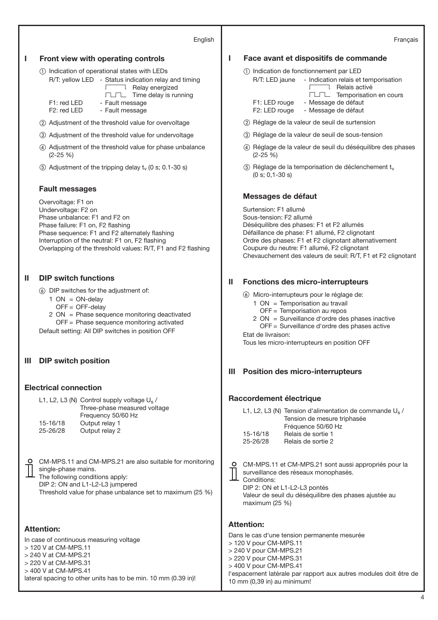#### English

#### Français

#### **I Front view with operating controls**

- Indication of operational states with LEDs

- R/T: yellow LED Status indication relay and timing Relay energized
	- $\Box\Box\Box$  Time delay is running
- F1: red LED Fault message<br>F2: red LED Fault message
	- Fault message
- Adjustment of the threshold value for overvoltage
- Adjustment of the threshold value for undervoltage
- Adjustment of the threshold value for phase unbalance (2-25 %)
- (5) Adjustment of the tripping delay  $t_v$  (0 s; 0.1-30 s)

## **Fault messages**

Overvoltage: F1 on Undervoltage: F2 on Phase unbalance: F1 and F2 on Phase failure: F1 on, F2 flashing Phase sequence: F1 and F2 alternately flashing Interruption of the neutral: F1 on, F2 flashing Overlapping of the threshold values: R/T, F1 and F2 flashing

## **II DIP switch functions**

- DIP switches for the adjustment of:
	- $1 ON = ON$ -delay
	- OFF = OFF-delay
	- 2 ON = Phase sequence monitoring deactivated

OFF = Phase sequence monitoring activated

Default setting: All DIP switches in position OFF

## **III DIP switch position**

## **Electrical connection**

L1, L2, L3 (N) Control supply voltage U<sub>s</sub> / Three-phase measured voltage Frequency 50/60 Hz 15-16/18 Output relay 1 25-26/28 Output relay 2

CM-MPS.11 and CM-MPS.21 are also suitable for monitoring single-phase mains. The following conditions apply:

DIP 2: ON and L1-L2-L3 jumpered

Threshold value for phase unbalance set to maximum (25 %)

## **Attention:**

In case of continuous measuring voltage > 120 V at CM-MPS.11 > 240 V at CM-MPS.21 > 220 V at CM-MPS.31 > 400 V at CM-MPS.41 lateral spacing to other units has to be min. 10 mm (0.39 in)!

## **I Face avant et dispositifs de commande**

- Indication de fonctionnement par LED
	- R/T: LED jaune Indication relais et temporisation I Relais activé TUTL Temporisation en cours F1: LED rouge - Message de défaut F2: LED rouge - Message de défaut
- (2) Réglage de la valeur de seuil de surtension
- Réglage de la valeur de seuil de sous-tension
- Réglage de la valeur de seuil du déséquilibre des phases (2-25 %)
- $(5)$  Réglage de la temporisation de déclenchement t<sub>v</sub> (0 s; 0,1-30 s)

### **Messages de défaut**

Surtension: F1 allumé Sous-tension: F2 allumé Déséquilibre des phases: F1 et F2 allumés Défaillance de phase: F1 allumé, F2 clignotant Ordre des phases: F1 et F2 clignotant alternativement Coupure du neutre: F1 allumé, F2 clignotant Chevauchement des valeurs de seuil: R/T, F1 et F2 clignotant

## **II Fonctions des micro-interrupteurs**

- Micro-interrupteurs pour le réglage de:
	- 1 ON = Temporisation au travail
		- OFF = Temporisation au repos
	- 2 ON = Surveillance d'ordre des phases inactive OFF = Surveillance d'ordre des phases active

Etat de livraison:

Tous les micro-interrupteurs en position OFF

## **III Position des micro-interrupteurs**

#### **Raccordement électrique**

|          | L1, L2, L3 (N) Tension d'alimentation de commande $U_s$ / |
|----------|-----------------------------------------------------------|
|          | Tension de mesure triphasée                               |
|          | Fréquence 50/60 Hz                                        |
| 15-16/18 | Relais de sortie 1                                        |
| 25-26/28 | Relais de sortie 2                                        |
|          |                                                           |

| CM-MPS.11    |
|--------------|
| surveillance |
| Conditions:  |

CM-MPS.11 et CM-MPS.21 sont aussi appropriés pour la surveillance des réseaux monophasés.

DIP 2: ON et L1-L2-L3 pontés Valeur de seuil du déséquilibre des phases ajustée au maximum (25 %)

#### **Attention:**

Dans le cas d'une tension permanente mesurée > 120 V pour CM-MPS.11 > 240 V pour CM-MPS.21 > 220 V pour CM-MPS.31 > 400 V pour CM-MPS.41 l'espacement latérale par rapport aux autres modules doit être de 10 mm (0,39 in) au minimum!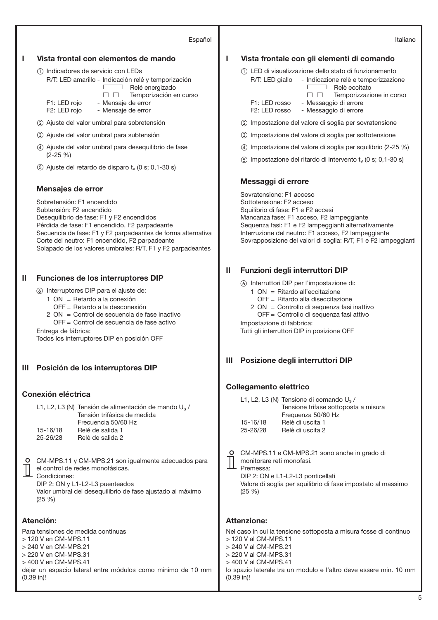#### Español

### **I Vista frontal con elementos de mando**

- Indicadores de servicio con LEDs
	- R/T: LED amarillo Indicación relé y temporización TLTL Temporización en curso Relé energizado F1: LED roio - Mensaie de error
		- F2: LED rojo Mensaje de error
- Ajuste del valor umbral para sobretensión
- Ajuste del valor umbral para subtensión
- Ajuste del valor umbral para desequilibrio de fase (2-25 %)
- $(5)$  Ajuste del retardo de disparo  $t_v$  (0 s; 0,1-30 s)

#### **Mensajes de error**

Sobretensión: F1 encendido Subtensión: F2 encendido Desequilibrio de fase: F1 y F2 encendidos Pérdida de fase: F1 encendido, F2 parpadeante Secuencia de fase: F1 y F2 parpadeantes de forma alternativa Corte del neutro: F1 encendido, F2 parpadeante Solapado de los valores umbrales: R/T, F1 y F2 parpadeantes

#### **II Funciones de los interruptores DIP**

Interruptores DIP para el ajuste de:

- 1 ON = Retardo a la conexión
	- OFF = Retardo a la desconexión
- 2 ON = Control de secuencia de fase inactivo OFF = Control de secuencia de fase activo

Entrega de fábrica: Todos los interruptores DIP en posición OFF

**III Posición de los interruptores DIP**

#### **Conexión eléctrica**

L1, L2, L3 (N) Tensión de alimentación de mando U<sub>s</sub> / Tensión trifásica de medida Frecuencia 50/60 Hz 15-16/18 Relé de salida 1 25-26/28 Relé de salida 2

| ٦<br>×<br>. . |  |  |  |  |  |
|---------------|--|--|--|--|--|
|               |  |  |  |  |  |

CM-MPS.11 y CM-MPS.21 son igualmente adecuados para el control de redes monofásicas. Condiciones: DIP 2: ON y L1-L2-L3 puenteados Valor umbral del desequilibrio de fase ajustado al máximo  $(25, 96)$ 

## **Atención:**

Para tensiones de medida continuas > 120 V en CM-MPS.11 > 240 V en CM-MPS.21 > 220 V en CM-MPS.31 > 400 V en CM-MPS.41 dejar un espacio lateral entre módulos como mínimo de 10 mm (0,39 in)!

## **I Vista frontale con gli elementi di comando**

- LED di visualizzazione dello stato di funzionamento
	- R/T: LED giallo Indicazione relè e temporizzazione I Relè eccitato TLTL Temporizzazione in corso F1: LED rosso - Messaggio di errore
	- F2: LED rosso Messaggio di errore
- Impostazione del valore di soglia per sovratensione
- Impostazione del valore di soglia per sottotensione
- Impostazione del valore di soglia per squilibrio (2-25 %)
- $\sigma$  Impostazione del ritardo di intervento t<sub>v</sub> (0 s; 0,1-30 s)

### **Messaggi di errore**

Sovratensione: F1 acceso Sottotensione: F2 acceso Squilibrio di fase: F1 e F2 accesi Mancanza fase: F1 acceso, F2 lampeggiante Sequenza fasi: F1 e F2 lampeggianti alternativamente Interruzione del neutro: F1 acceso, F2 lampeggiante Sovrapposizione dei valori di soglia: R/T, F1 e F2 lampeggianti

### **II Funzioni degli interruttori DIP**

Interruttori DIP per l'impostazione di:

- 1 ON = Ritardo all'eccitazione
	- OFF = Ritardo alla diseccitazione
- 2 ON = Controllo di sequenza fasi inattivo OFF = Controllo di sequenza fasi attivo
- Impostazione di fabbrica:

Tutti gli interruttori DIP in posizione OFF

## **III Posizione degli interruttori DIP**

### **Collegamento elettrico**

L1, L2, L3 (N) Tensione di comando Us / Tensione trifase sottoposta a misura Frequenza 50/60 Hz 15-16/18 Relè di uscita 1 25-26/28 Relè di uscita 2

CM-MPS.11 e CM-MPS.21 sono anche in grado di

monitorare reti monofasi. Premessa:

DIP 2: ON e L1-L2-L3 ponticellati Valore di soglia per squilibrio di fase impostato al massimo (25 %)

## **Attenzione:**

Nel caso in cui la tensione sottoposta a misura fosse di continuo > 120 V al CM-MPS.11 > 240 V al CM-MPS.21 > 220 V al CM-MPS.31

> 400 V al CM-MPS.41

lo spazio laterale tra un modulo e l'altro deve essere min. 10 mm (0,39 in)!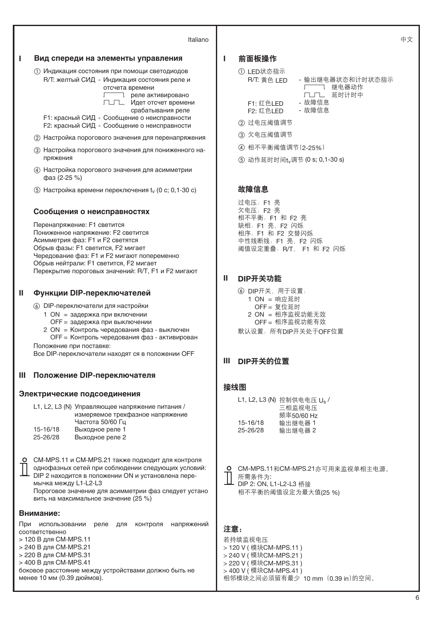#### Italiano



#### **I** 前面板操作

| ① LED状态指示   |
|-------------|
| R/T: 黄色 LED |
|             |

- 输出继电器状态和计时状态指示 アンママ 继电器动作 厂┛フユ 延时计时中

- F1: 红色LED 故障信息<br>F2: 红色LFD 故障信息
- F2: 红色LED ② 讨电压阈值调节
- ③ 欠电压阈值调节
- 4 相不平衡阈值调节(2-25%)

(5) 动作延时时间t<sub>v</sub>调节 (0 s; 0,1-30 s)

## 故障信息

过电压: F1 亮 欠电压: F2 亮 相不平衡: F1 和 F2 亮 缺相: F1 亮, F2 闪烁 相序: F1 和 F2 交替闪烁 中性线断线: F1 亮, F2 闪烁 阈值设定重叠: R/T、 F1 和 F2 闪烁

## **II** DIP开关功能

- ⑥ DIP开关, 用于设置:  $1 ON = m$ 应延时  $OFF =$  复位延时 2 ON = 相序监视功能无效
	- OFF = 相序监视功能有效
- 默认设置: 所有DIP开关处于OFF位置

## **III** DIP开关的位置

|          | L1, L2, L3 (N) 控制供电电压 U <sub>s</sub> / |
|----------|----------------------------------------|
|          | 三相监视电压                                 |
|          | 频率50/60 Hz                             |
| 15-16/18 | 输出继电器 1                                |
| 25-26/28 | 输出继电器 2                                |
|          |                                        |

O CM-MPS.11和CM-MPS.21亦可用来监视单相主电源。 ■ 所需条件为: DIP 2: ON, L1-L2-L3 桥接 相不平衡的阈值设定为最大值(25 %)

若持续监视电压 > 120 V (模块CM-MPS.11) > 240 V (模块CM-MPS.21) > 220 V (模块CM-MPS.31) > 400 V (模块CM-MPS.41) 相邻模块之间必须留有最少 10 mm (0.39 in)的空间。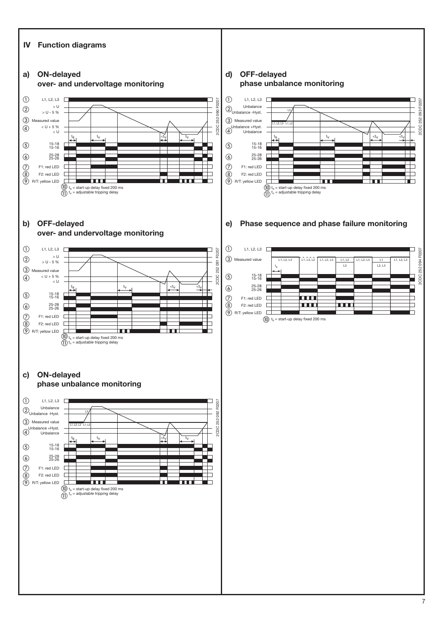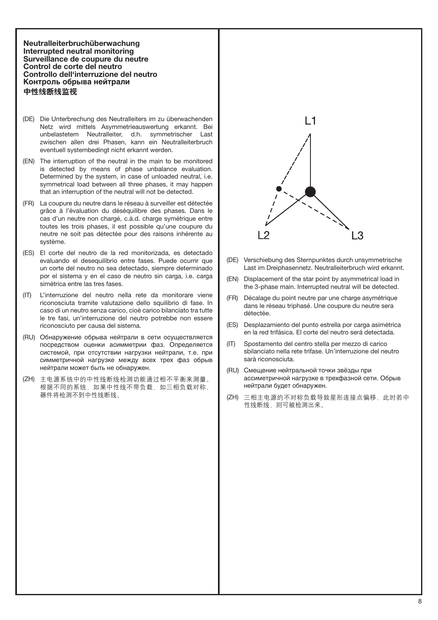**Neutralleiterbruchüberwachung Interrupted neutral monitoring Surveillance de coupure du neutre Control de corte del neutro Controllo dell'interruzione del neutro Контроль обрыва нейтрали** 中性线断线监视

- (DE) Die Unterbrechung des Neutralleiters im zu überwachenden Netz wird mittels Asymmetrieauswertung erkannt. Bei unbelastetem Neutralleiter, d.h. symmetrischer Last zwischen allen drei Phasen, kann ein Neutralleiterbruch eventuell systembedingt nicht erkannt werden.
- (EN) The interruption of the neutral in the main to be monitored is detected by means of phase unbalance evaluation. Determined by the system, in case of unloaded neutral, i.e. symmetrical load between all three phases, it may happen that an interruption of the neutral will not be detected.
- (FR) La coupure du neutre dans le réseau à surveiller est détectée grâce à l'évaluation du déséquilibre des phases. Dans le cas d'un neutre non chargé, c.à.d. charge symétrique entre toutes les trois phases, il est possible qu'une coupure du neutre ne soit pas détectée pour des raisons inhérente au système.
- (ES) El corte del neutro de la red monitorizada, es detectado evaluando el desequilibrio entre fases. Puede ocurrir que un corte del neutro no sea detectado, siempre determinado por el sistema y en el caso de neutro sin carga, i.e. carga simétrica entre las tres fases.
- (IT) L'interruzione del neutro nella rete da monitorare viene riconosciuta tramite valutazione dello squilibrio di fase. In caso di un neutro senza carico, cioè carico bilanciato tra tutte le tre fasi, un'interruzione del neutro potrebbe non essere riconosciuto per causa del sistema.
- (RU) Обнаружение обрыва нейтрали в сети осуществляется посредством оценки асимметрии фаз. Определяется системой, при отсутствии нагрузки нейтрали, т.е. при симметричной нагрузке между всех трех фаз обрыв нейтрали может быть не обнаружен.
- (ZH) 主电源系统中的中性线断线检测功能通过相不平衡来测量。 根据不同的系统,如果中性线不带负载,如三相负载对称, 器件将检测不到中性线断线。



- (DE) Verschiebung des Sternpunktes durch unsymmetrische Last im Dreiphasennetz. Neutralleiterbruch wird erkannt.
- (EN) Displacement of the star point by asymmetrical load in the 3-phase main. Interrupted neutral will be detected.
- (FR) Décalage du point neutre par une charge asymétrique dans le réseau triphasé. Une coupure du neutre sera détectée.
- (ES) Desplazamiento del punto estrella por carga asimétrica en la red trifásica. El corte del neutro será detectada.
- (IT) Spostamento del centro stella per mezzo di carico sbilanciato nella rete trifase. Un'interruzione del neutro sarà riconosciuta.
- (RU) Смещение нейтральной точки звёзды при ассиметричной нагрузке в трехфазной сети. Обрыв нейтрали будет обнаружен.
- (ZH) 三相主电源的不对称负载导致星形连接点偏移, 此时若中 性线断线。则可被检测出来。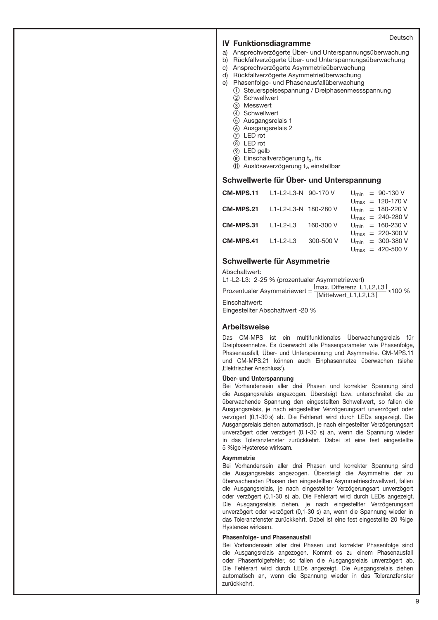### **IV Funktionsdiagramme**

- a) Ansprechverzögerte Über- und Unterspannungsüberwachung
- b) Rückfallverzögerte Über- und Unterspannungsüberwachung
- c) Ansprechverzögerte Asymmetrieüberwachung
- d) Rückfallverzögerte Asymmetrieüberwachung
- e) Phasenfolge- und Phasenausfallüberwachung
	- Steuerspeisespannung / Dreiphasenmessspannung 2 Schwellwert
		-
		- Messwert
		- Schwellwert
		- Ausgangsrelais 1
		- $\overline{6}$  Ausgangsrelais 2
		- LED rot
		- LED rot
		- LED gelb
		- $(0)$  Einschaltverzögerung ts, fix
		- $(n)$  Auslöseverzögerung t<sub>v</sub>, einstellbar

#### **Schwellwerte für Über- und Unterspannung**

| <b>CM-MPS.11</b> | L1-L2-L3-N 90-170 V  |           |  | $U_{\text{min}} = 90 - 130 V$          |
|------------------|----------------------|-----------|--|----------------------------------------|
|                  |                      |           |  | $U_{\text{max}} = 120 - 170 V$         |
| CM-MPS.21        | L1-L2-L3-N 180-280 V |           |  | $U_{\text{min}} = 180 - 220 V$         |
|                  |                      |           |  | $U_{\text{max}} = 240 - 280 \text{ V}$ |
| CM-MPS.31        | $L1-L2-L3$           | 160-300 V |  | $U_{\text{min}} = 160 - 230 V$         |
|                  |                      |           |  | $U_{\text{max}} = 220 - 300 \text{ V}$ |
| CM-MPS.41        | $11 - 2 - 3$         | 300-500 V |  | $U_{\text{min}} = 300 - 380 \text{ V}$ |
|                  |                      |           |  | $U_{\text{max}} = 420 - 500 \text{ V}$ |

#### **Schwellwerte für Asymmetrie**

Abschaltwert:

L1-L2-L3: 2-25 % (prozentualer Asymmetriewert)

Prozentualer Asymmetriewert =  $\frac{|\text{max. Differenz\_L1,L2,L3}|}{|\text{Mittelwert\_L1,L2,L3}|}$  \*100 %

Einschaltwert:

Eingestellter Abschaltwert -20 %

#### **Arbeitsweise**

Das CM-MPS ist ein multifunktionales Überwachungsrelais für Dreiphasennetze. Es überwacht alle Phasenparameter wie Phasenfolge, Phasenausfall, Über- und Unterspannung und Asymmetrie. CM-MPS.11 und CM-MPS.21 können auch Einphasennetze überwachen (siehe 'Elektrischer Anschluss').

#### **Über- und Unterspannung**

Bei Vorhandensein aller drei Phasen und korrekter Spannung sind die Ausgangsrelais angezogen. Übersteigt bzw. unterschreitet die zu überwachende Spannung den eingestellten Schwellwert, so fallen die Ausgangsrelais, je nach eingestellter Verzögerungsart unverzögert oder verzögert (0,1-30 s) ab. Die Fehlerart wird durch LEDs angezeigt. Die Ausgangsrelais ziehen automatisch, je nach eingestellter Verzögerungsart unverzögert oder verzögert (0,1-30 s) an, wenn die Spannung wieder in das Toleranzfenster zurückkehrt. Dabei ist eine fest eingestellte 5 %ige Hysterese wirksam.

#### **Asymmetrie**

Bei Vorhandensein aller drei Phasen und korrekter Spannung sind die Ausgangsrelais angezogen. Übersteigt die Asymmetrie der zu überwachenden Phasen den eingestellten Asymmetrieschwellwert, fallen die Ausgangsrelais, je nach eingestellter Verzögerungsart unverzögert oder verzögert (0,1-30 s) ab. Die Fehlerart wird durch LEDs angezeigt. Die Ausgangsrelais ziehen, je nach eingestellter Verzögerungsart unverzögert oder verzögert (0,1-30 s) an, wenn die Spannung wieder in das Toleranzfenster zurückkehrt. Dabei ist eine fest eingestellte 20 %ige Hysterese wirksam.

#### **Phasenfolge- und Phasenausfall**

Bei Vorhandensein aller drei Phasen und korrekter Phasenfolge sind die Ausgangsrelais angezogen. Kommt es zu einem Phasenausfall oder Phasenfolgefehler, so fallen die Ausgangsrelais unverzögert ab. Die Fehlerart wird durch LEDs angezeigt. Die Ausgangsrelais ziehen automatisch an, wenn die Spannung wieder in das Toleranzfenster zurückkehrt.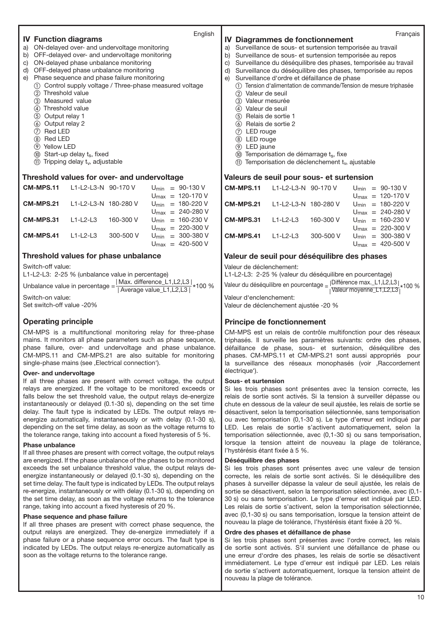# English **IV Function diagrams**

- a) ON-delayed over- and undervoltage monitoring
- b) OFF-delayed over- and undervoltage monitoring
- c) ON-delayed phase unbalance monitoring
- d) OFF-delayed phase unbalance monitoring
- e) Phase sequence and phase failure monitoring
	- Control supply voltage / Three-phase measured voltage
		- 2 Threshold value
		- Measured value
		- $\overline{4}$ ) Threshold value
		- (5) Output relay 1
		- Output relay 2
		- Red LED
		- 8 Red LED
		- Yellow LED
		- $<sup>10</sup>$  Start-up delay t<sub>s</sub>, fixed</sup>
		- $(1)$  Tripping delay  $t_v$ , adjustable

#### **Threshold values for over- and undervoltage**

| CM-MPS.11 | L1-L2-L3-N 90-170 V  |           |  | $U_{\text{min}} = 90 - 130 V$          |
|-----------|----------------------|-----------|--|----------------------------------------|
|           |                      |           |  | $U_{\text{max}} = 120 - 170 V$         |
| CM-MPS.21 | L1-L2-L3-N 180-280 V |           |  | $U_{\text{min}} = 180 - 220 V$         |
|           |                      |           |  | $U_{\text{max}} = 240 - 280$ V         |
| CM-MPS.31 | $L1-L2-L3$           | 160-300 V |  | $U_{\text{min}} = 160 - 230 \text{ V}$ |
|           |                      |           |  | $U_{\text{max}} = 220 - 300 \text{ V}$ |
| CM-MPS.41 | $L1-L2-L3$           | 300-500 V |  | $U_{\text{min}} = 300 - 380 \text{ V}$ |
|           |                      |           |  | $U_{\text{max}} = 420 - 500 \text{ V}$ |

## **Threshold values for phase unbalance**

Switch-off value:

L1-L2-L3: 2-25 % (unbalance value in percentage)

Unbalance value in percentage  $=\frac{|\text{Max. difference\_L1,L2,L3}|}{|\text{Average value\_L1,L2,L3}|}$  \*100 % Switch-on value:

Set switch-off value -20%

## **Operating principle**

CM-MPS is a multifunctional monitoring relay for three-phase mains. It monitors all phase parameters such as phase sequence, phase failure, over- and undervoltage and phase unbalance. CM-MPS.11 and CM-MPS.21 are also suitable for monitoring single-phase mains (see , Electrical connection').

## **Over- and undervoltage**

If all three phases are present with correct voltage, the output relays are energized. If the voltage to be monitored exceeds or falls below the set threshold value, the output relays de-energize instantaneously or delayed (0.1-30 s), depending on the set time delay. The fault type is indicated by LEDs. The output relays reenergize automatically, instantaneously or with delay (0.1-30 s), depending on the set time delay, as soon as the voltage returns to the tolerance range, taking into account a fixed hysteresis of 5 %.

#### **Phase unbalance**

If all three phases are present with correct voltage, the output relays are energized. If the phase unbalance of the phases to be monitored exceeds the set unbalance threshold value, the output relays deenergize instantaneously or delayed (0.1-30 s), depending on the set time delay. The fault type is indicated by LEDs. The output relays re-energize, instantaneously or with delay (0.1-30 s), depending on the set time delay, as soon as the voltage returns to the tolerance range, taking into account a fixed hysteresis of 20 %.

#### **Phase sequence and phase failure**

If all three phases are present with correct phase sequence, the output relays are energized. They de-energize immediately if a phase failure or a phase sequence error occurs. The fault type is indicated by LEDs. The output relays re-energize automatically as soon as the voltage returns to the tolerance range.

## Français **IV Diagrammes de fonctionnement**

- a) Surveillance de sous- et surtension temporisée au travail
- b) Surveillance de sous- et surtension temporisée au repos
- c) Surveillance du déséquilibre des phases, temporisée au travail
- d) Surveillance du déséquilibre des phases, temporisée au repos
- e) Surveillance d'ordre et défaillance de phase
	- Tension d'alimentation de commande/Tension de mesure triphasée (2) Valeur de seuil
	- (3) Valeur mesurée
	- Valeur de seuil
	- $\overline{6}$  Relais de sortie 1
	- $\overline{6}$  Relais de sortie 2
	-
	- LED rouge
	- LED rouge
	- LED jaune
	- $10$  Temporisation de démarrage  $t_s$ , fixe
	- $(1)$  Temporisation de déclenchement t<sub>y</sub>, ajustable

#### **Valeurs de seuil pour sous- et surtension**

| <b>CM-MPS.11</b> L1-L2-L3-N 90-170 V  |           |  | $U_{\text{min}} = 90 - 130 V$          |
|---------------------------------------|-----------|--|----------------------------------------|
|                                       |           |  | $U_{\text{max}} = 120 - 170 \text{ V}$ |
| <b>CM-MPS.21</b> L1-L2-L3-N 180-280 V |           |  | $U_{\text{min}} = 180 - 220 V$         |
|                                       |           |  | $U_{\text{max}} = 240 - 280 \text{ V}$ |
| $CM-MPS.31$ $L1-L2-L3$                | 160-300 V |  | $U_{\text{min}} = 160 - 230 V$         |
|                                       |           |  | $U_{\text{max}} = 220 - 300 \text{ V}$ |
| $CM-MPS.41$ $L1-L2-L3$                | 300-500 V |  | $U_{\text{min}} = 300 - 380 \text{ V}$ |
|                                       |           |  | $U_{\text{max}} = 420 - 500 \text{ V}$ |

## **Valeur de seuil pour déséquilibre des phases**

Valeur de déclenchement:

L1-L2-L3: 2-25 % (valeur du déséquilibre en pourcentage) Valeur du déséquilibre en pourcentage <sub>=  $|\text{U}\right|$ Taleur moyenne\_L1,L2,L3 $|\times$ 100 %</sub>

Valeur d'enclenchement: Valeur de déclenchement ajustée -20 %

## **Principe de fonctionnement**

CM-MPS est un relais de contrôle multifonction pour des réseaux triphasés. Il surveille les paramètres suivants: ordre des phases, défaillance de phase, sous- et surtension, déséquilibre des phases. CM-MPS.11 et CM-MPS.21 sont aussi appropriés pour la surveillance des réseaux monophasés (voir , Raccordement électrique').

#### **Sous- et surtension**

Si les trois phases sont présentes avec la tension correcte, les relais de sortie sont activés. Si la tension à surveiller dépasse ou chute en dessous de la valeur de seuil ajustée, les relais de sortie se désactivent, selon la temporisation sélectionnée, sans temporisation ou avec temporisation (0,1-30 s). Le type d'erreur est indiqué par LED. Les relais de sortie s'activent automatiquement, selon la temporisation sélectionnée, avec (0,1-30 s) ou sans temporisation, lorsque la tension atteint de nouveau la plage de tolérance, l'hystérésis étant fixée à 5 %.

#### **Déséquilibre des phases**

Si les trois phases sont présentes avec une valeur de tension correcte, les relais de sortie sont activés. Si le déséquilibre des phases à surveiller dépasse la valeur de seuil ajustée, les relais de sortie se désactivent, selon la temporisation sélectionnée, avec (0,1- 30 s) ou sans temporisation. Le type d'erreur est indiqué par LED. Les relais de sortie s'activent, selon la temporisation sélectionnée, avec (0,1-30 s) ou sans temporisation, lorsque la tension atteint de nouveau la plage de tolérance, l'hystérésis étant fixée à 20 %.

#### **Ordre des phases et défaillance de phase**

Si les trois phases sont présentes avec l'ordre correct, les relais de sortie sont activés. S'il survient une défaillance de phase ou une erreur d'ordre des phases, les relais de sortie se désactivent immédiatement. Le type d'erreur est indiqué par LED. Les relais de sortie s'activent automatiquement, lorsque la tension atteint de nouveau la plage de tolérance.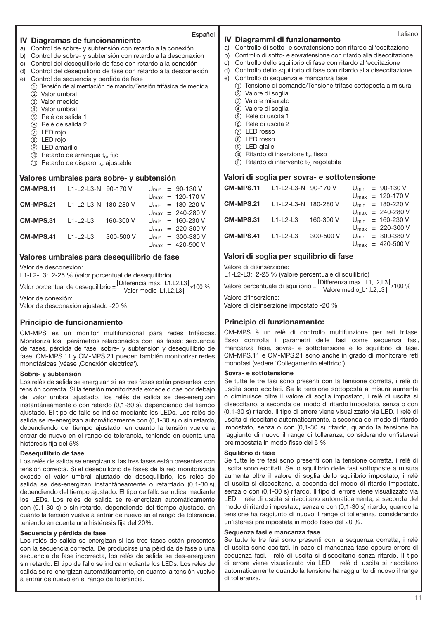# Español **IV Diagramas de funcionamiento**

- a) Control de sobre- y subtensión con retardo a la conexión
- b) Control de sobre- y subtensión con retardo a la desconexión
- c) Control del desequilibrio de fase con retardo a la conexión d) Control del desequilibrio de fase con retardo a la desconexión
- 
- e) Control de secuencia y pérdida de fase
	- Tensión de alimentación de mando/Tensión trifásica de medida  $(2)$  Valor umbral
		- Valor medido
	- Valor umbral
	- Relé de salida 1
	- Relé de salida 2
	- LED rojo
	- LED rojo
	- LED amarillo
	- $\omega$  Retardo de arranque ts, fijo
	- $(1)$  Retardo de disparo t<sub>v</sub>, ajustable

## **Valores umbrales para sobre- y subtensión**

| CM-MPS.11 | $11 - 2 - 3 - N$ 90-170 V |           |  | $U_{\text{min}} = 90 - 130 V$          |
|-----------|---------------------------|-----------|--|----------------------------------------|
|           |                           |           |  | $U_{\text{max}} = 120 - 170 V$         |
| CM-MPS.21 | L1-L2-L3-N 180-280 V      |           |  | $U_{\text{min}} = 180 - 220 V$         |
|           |                           |           |  | $U_{\text{max}} = 240 - 280 \text{ V}$ |
| CM-MPS.31 | $11 - 2 - 3$              | 160-300 V |  | $U_{\text{min}} = 160 - 230 V$         |
|           |                           |           |  | $U_{\text{max}} = 220 - 300 \text{ V}$ |
| CM-MPS.41 | $11-12-13$                | 300-500 V |  | $U_{\text{min}} = 300 - 380 \text{ V}$ |
|           |                           |           |  | $U_{\text{max}} = 420 - 500 \text{ V}$ |

#### **Valores umbrales para desequilibrio de fase**

Valor de desconexión:

L1-L2-L3: 2-25 % (valor porcentual de desequilibrio)

Valor porcentual de desequilibrio =  $\frac{|\text{Diferencia max.}\_\text{L1}, \text{L2}, \text{L3}|}{|\text{Value media\_}\_\text{L1}, \text{L2}, \text{L3}|} * 100\%$ 

Valor de conexión: Valor de desconexión ajustado -20 %

## **Principio de funcionamiento**

CM-MPS es un monitor multifuncional para redes trifásicas. Monitoriza los parámetros relacionados con las fases: secuencia de fases, pérdida de fase, sobre- y subtensión y desequilibrio de fase. CM-MPS.11 y CM-MPS.21 pueden también monitorizar redes monofásicas (véase .Conexión eléctrica').

#### **Sobre- y subtensión**

Los relés de salida se energizan si las tres fases están presentes con tensión correcta. Si la tensión monitorizada excede o cae por debajo del valor umbral ajustado, los relés de salida se des-energizan instantáneamente o con retardo (0,1-30 s), dependiendo del tiempo ajustado. El tipo de fallo se indica mediante los LEDs. Los relés de salida se re-energizan automáticamente con (0,1-30 s) o sin retardo, dependiendo del tiempo ajustado, en cuanto la tensión vuelve a entrar de nuevo en el rango de tolerancia, teniendo en cuenta una histéresis fija del 5%.

#### **Desequilibrio de fase**

Los relés de salida se energizan si las tres fases están presentes con tensión correcta. Si el desequilibrio de fases de la red monitorizada excede el valor umbral ajustado de desequilibrio, los relés de salida se des-energizan instantáneamente o retardado (0,1-30 s), dependiendo del tiempo ajustado. El tipo de fallo se indica mediante los LEDs. Los relés de salida se re-energizan automáticamente con (0,1-30 s) o sin retardo, dependiendo del tiempo ajustado, en cuanto la tensión vuelve a entrar de nuevo en el rango de tolerancia, teniendo en cuenta una histéresis fija del 20%.

#### **Secuencia y pérdida de fase**

Los relés de salida se energizan si las tres fases están presentes con la secuencia correcta. De producirse una pérdida de fase o una secuencia de fase incorrecta, los relés de salida se des-energizan sin retardo. El tipo de fallo se indica mediante los LEDs. Los relés de salida se re-energizan automáticamente, en cuanto la tensión vuelve a entrar de nuevo en el rango de tolerancia.

#### **IV Diagrammi di funzionamento**

- a) Controllo di sotto- e sovratensione con ritardo all'eccitazione
- b) Controllo di sotto- e sovratensione con ritardo alla diseccitazione
- c) Controllo dello squilibrio di fase con ritardo all'eccitazione
- d) Controllo dello squilibrio di fase con ritardo alla diseccitazione
- e) Controllo di sequenza e mancanza fase
	- Tensione di comando/Tensione trifase sottoposta a misura (2) Valore di soglia
	- Valore misurato
	- Valore di soglia
	- $\overline{6}$ ) Relè di uscita 1
	- $\overline{6}$  Relè di uscita 2
	- LED rosso
	- LED rosso
	- LED giallo
	- $\omega$  Ritardo di inserzione ts, fisso
	- $(1)$  Ritardo di intervento t<sub>v,</sub> regolabile

#### **Valori di soglia per sovra- e sottotensione**

| <b>CM-MPS.11</b> L1-L2-L3-N 90-170 V  |            |           |  | $U_{\text{min}} = 90 - 130 V$          |
|---------------------------------------|------------|-----------|--|----------------------------------------|
|                                       |            |           |  | $U_{\text{max}} = 120-170 \text{ V}$   |
| <b>CM-MPS.21</b> L1-L2-L3-N 180-280 V |            |           |  | $U_{\text{min}} = 180 - 220 V$         |
|                                       |            |           |  | $U_{\text{max}} = 240 - 280 \text{ V}$ |
| <b>CM-MPS.31</b>                      | $L1-L2-L3$ | 160-300 V |  | $U_{\text{min}} = 160 - 230 V$         |
|                                       |            |           |  | $U_{\text{max}} = 220 - 300 \text{ V}$ |
| $CM-MPS.41$ $L1-L2-L3$                |            | 300-500 V |  | $U_{\text{min}} = 300 - 380 \text{ V}$ |
|                                       |            |           |  | $U_{\text{max}} = 420 - 500 \text{ V}$ |

## **Valori di soglia per squilibrio di fase**

Valore di disinserzione:

L1-L2-L3: 2-25 % (valore percentuale di squilibrio)

Valore percentuale di squilibrio =  $\frac{|D|}{|V|}$  |  $\frac{|D|}{|V|}$  medio\_L1,L2,L3  $|$  \*100 %

Valore d'inserzione: Valore di disinserzione impostato -20 %

## **Principio di funzionamento:**

CM-MPS è un relè di controllo multifunzione per reti trifase. Esso controlla i parametri delle fasi come sequenza fasi, mancanza fase, sovra- e sottotensione e lo squilibrio di fase. CM-MPS.11 e CM-MPS.21 sono anche in grado di monitorare reti monofasi (vedere 'Collegamento elettrico').

#### **Sovra- e sottotensione**

Se tutte le tre fasi sono presenti con la tensione corretta, i relè di uscita sono eccitati. Se la tensione sottoposta a misura aumenta o diminuisce oltre il valore di soglia impostato, i relè di uscita si diseccitano, a seconda del modo di ritardo impostato, senza o con (0,1-30 s) ritardo. Il tipo di errore viene visualizzato via LED. I relè di uscita si rieccitano automaticamente, a seconda del modo di ritardo impostato, senza o con (0,1-30 s) ritardo, quando la tensione ha raggiunto di nuovo il range di tolleranza, considerando un'isteresi preimpostata in modo fisso del 5 %.

#### **Squilibrio di fase**

Se tutte le tre fasi sono presenti con la tensione corretta, i relè di uscita sono eccitati. Se lo squilibrio delle fasi sottoposte a misura aumenta oltre il valore di soglia dello squilibrio impostato, i relè di uscita si diseccitano, a seconda del modo di ritardo impostato, senza o con (0,1-30 s) ritardo. Il tipo di errore viene visualizzato via LED. I relè di uscita si rieccitano automaticamente, a seconda del modo di ritardo impostato, senza o con (0,1-30 s) ritardo, quando la tensione ha raggiunto di nuovo il range di tolleranza, considerando un'isteresi preimpostata in modo fisso del 20 %.

#### **Sequenza fasi e mancanza fase**

Se tutte le tre fasi sono presenti con la sequenza corretta, i relè di uscita sono eccitati. In caso di mancanza fase oppure errore di sequenza fasi, i relè di uscita si diseccitano senza ritardo. Il tipo di errore viene visualizzato via LED. I relè di uscita si rieccitano automaticamente quando la tensione ha raggiunto di nuovo il range di tolleranza.